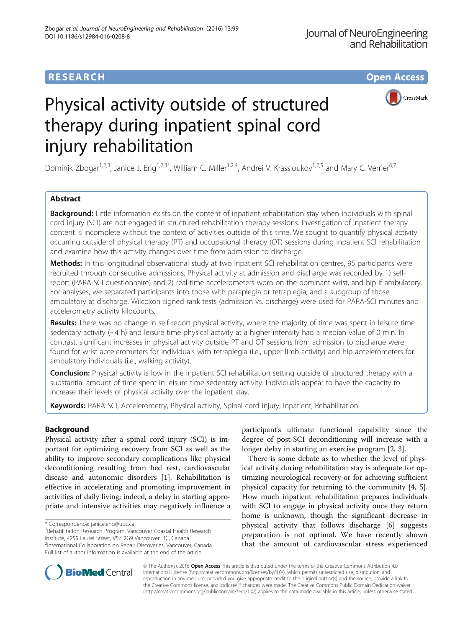# **RESEARCH CHE Open Access**



# Physical activity outside of structured therapy during inpatient spinal cord injury rehabilitation

Dominik Zbogar<sup>1,2,3</sup>, Janice J. Eng<sup>1,2,3\*</sup>, William C. Miller<sup>1,2,4</sup>, Andrei V. Krassioukov<sup>1,2,5</sup> and Mary C. Verrier<sup>6,7</sup>

# Abstract

Background: Little information exists on the content of inpatient rehabilitation stay when individuals with spinal cord injury (SCI) are not engaged in structured rehabilitation therapy sessions. Investigation of inpatient therapy content is incomplete without the context of activities outside of this time. We sought to quantify physical activity occurring outside of physical therapy (PT) and occupational therapy (OT) sessions during inpatient SCI rehabilitation and examine how this activity changes over time from admission to discharge.

Methods: In this longitudinal observational study at two inpatient SCI rehabilitation centres, 95 participants were recruited through consecutive admissions. Physical activity at admission and discharge was recorded by 1) selfreport (PARA-SCI questionnaire) and 2) real-time accelerometers worn on the dominant wrist, and hip if ambulatory. For analyses, we separated participants into those with paraplegia or tetraplegia, and a subgroup of those ambulatory at discharge. Wilcoxon signed rank tests (admission vs. discharge) were used for PARA-SCI minutes and accelerometry activity kilocounts.

Results: There was no change in self-report physical activity, where the majority of time was spent in leisure time sedentary activity (~4 h) and leisure time physical activity at a higher intensity had a median value of 0 min. In contrast, significant increases in physical activity outside PT and OT sessions from admission to discharge were found for wrist accelerometers for individuals with tetraplegia (i.e., upper limb activity) and hip accelerometers for ambulatory individuals (i.e., walking activity).

Conclusion: Physical activity is low in the inpatient SCI rehabilitation setting outside of structured therapy with a substantial amount of time spent in leisure time sedentary activity. Individuals appear to have the capacity to increase their levels of physical activity over the inpatient stay.

Keywords: PARA-SCI, Accelerometry, Physical activity, Spinal cord injury, Inpatient, Rehabilitation

# Background

Physical activity after a spinal cord injury (SCI) is important for optimizing recovery from SCI as well as the ability to improve secondary complications like physical deconditioning resulting from bed rest, cardiovascular disease and autonomic disorders [\[1](#page-9-0)]. Rehabilitation is effective in accelerating and promoting improvement in activities of daily living; indeed, a delay in starting appropriate and intensive activities may negatively influence a

<sup>1</sup> Rehabilitation Research Program, Vancouver Coastal Health Research Institute, 4255 Laurel Street, V5Z 2G9 Vancouver, BC, Canada <sup>2</sup>International Collaboration on Repair Discoveries, Vancouver, Canada Full list of author information is available at the end of the article

participant's ultimate functional capability since the degree of post-SCI deconditioning will increase with a longer delay in starting an exercise program [\[2](#page-9-0), [3](#page-9-0)].

There is some debate as to whether the level of physical activity during rehabilitation stay is adequate for optimizing neurological recovery or for achieving sufficient physical capacity for returning to the community [[4](#page-9-0), [5](#page-9-0)]. How much inpatient rehabilitation prepares individuals with SCI to engage in physical activity once they return home is unknown, though the significant decrease in physical activity that follows discharge [\[6](#page-9-0)] suggests preparation is not optimal. We have recently shown that the amount of cardiovascular stress experienced



© The Author(s). 2016 Open Access This article is distributed under the terms of the Creative Commons Attribution 4.0 International License [\(http://creativecommons.org/licenses/by/4.0/](http://creativecommons.org/licenses/by/4.0/)), which permits unrestricted use, distribution, and reproduction in any medium, provided you give appropriate credit to the original author(s) and the source, provide a link to the Creative Commons license, and indicate if changes were made. The Creative Commons Public Domain Dedication waiver [\(http://creativecommons.org/publicdomain/zero/1.0/](http://creativecommons.org/publicdomain/zero/1.0/)) applies to the data made available in this article, unless otherwise stated.

<sup>\*</sup> Correspondence: [janice.eng@ubc.ca](mailto:janice.eng@ubc.ca) <sup>1</sup>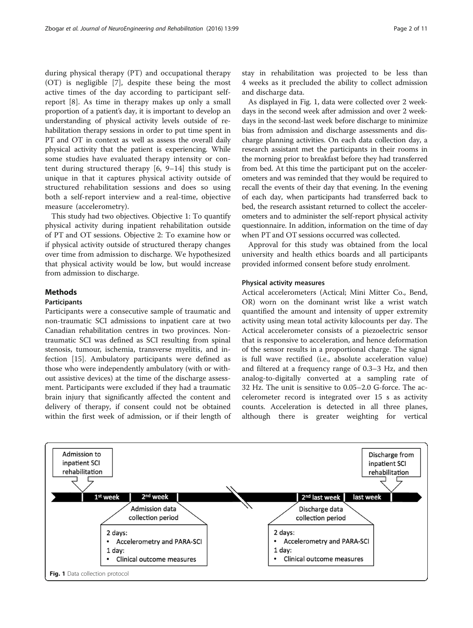during physical therapy (PT) and occupational therapy (OT) is negligible [\[7](#page-9-0)], despite these being the most active times of the day according to participant selfreport [\[8](#page-9-0)]. As time in therapy makes up only a small proportion of a patient's day, it is important to develop an understanding of physical activity levels outside of rehabilitation therapy sessions in order to put time spent in PT and OT in context as well as assess the overall daily physical activity that the patient is experiencing. While some studies have evaluated therapy intensity or content during structured therapy [[6, 9](#page-9-0)–[14](#page-9-0)] this study is unique in that it captures physical activity outside of structured rehabilitation sessions and does so using both a self-report interview and a real-time, objective measure (accelerometry).

This study had two objectives. Objective 1: To quantify physical activity during inpatient rehabilitation outside of PT and OT sessions. Objective 2: To examine how or if physical activity outside of structured therapy changes over time from admission to discharge. We hypothesized that physical activity would be low, but would increase from admission to discharge.

# **Methods**

# Participants

Participants were a consecutive sample of traumatic and non-traumatic SCI admissions to inpatient care at two Canadian rehabilitation centres in two provinces. Nontraumatic SCI was defined as SCI resulting from spinal stenosis, tumour, ischemia, transverse myelitis, and infection [\[15](#page-9-0)]. Ambulatory participants were defined as those who were independently ambulatory (with or without assistive devices) at the time of the discharge assessment. Participants were excluded if they had a traumatic brain injury that significantly affected the content and delivery of therapy, if consent could not be obtained within the first week of admission, or if their length of stay in rehabilitation was projected to be less than 4 weeks as it precluded the ability to collect admission and discharge data.

As displayed in Fig. 1, data were collected over 2 weekdays in the second week after admission and over 2 weekdays in the second-last week before discharge to minimize bias from admission and discharge assessments and discharge planning activities. On each data collection day, a research assistant met the participants in their rooms in the morning prior to breakfast before they had transferred from bed. At this time the participant put on the accelerometers and was reminded that they would be required to recall the events of their day that evening. In the evening of each day, when participants had transferred back to bed, the research assistant returned to collect the accelerometers and to administer the self-report physical activity questionnaire. In addition, information on the time of day when PT and OT sessions occurred was collected.

Approval for this study was obtained from the local university and health ethics boards and all participants provided informed consent before study enrolment.

# Physical activity measures

Actical accelerometers (Actical; Mini Mitter Co., Bend, OR) worn on the dominant wrist like a wrist watch quantified the amount and intensity of upper extremity activity using mean total activity kilocounts per day. The Actical accelerometer consists of a piezoelectric sensor that is responsive to acceleration, and hence deformation of the sensor results in a proportional charge. The signal is full wave rectified (i.e., absolute acceleration value) and filtered at a frequency range of 0.3–3 Hz, and then analog-to-digitally converted at a sampling rate of 32 Hz. The unit is sensitive to 0.05–2.0 G-force. The accelerometer record is integrated over 15 s as activity counts. Acceleration is detected in all three planes, although there is greater weighting for vertical

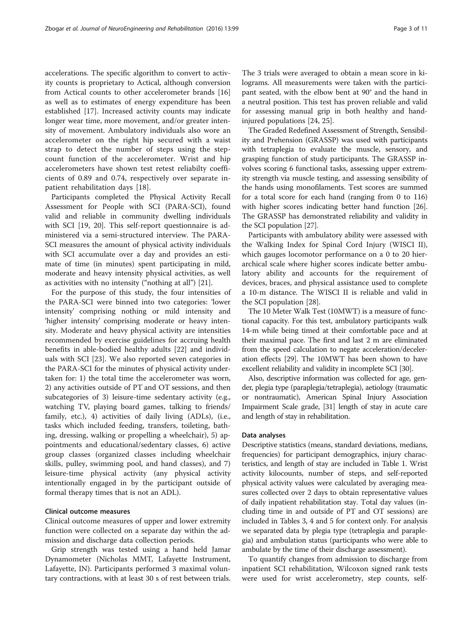accelerations. The specific algorithm to convert to activity counts is proprietary to Actical, although conversion from Actical counts to other accelerometer brands [[16](#page-9-0)] as well as to estimates of energy expenditure has been established [[17\]](#page-9-0). Increased activity counts may indicate longer wear time, more movement, and/or greater intensity of movement. Ambulatory individuals also wore an accelerometer on the right hip secured with a waist strap to detect the number of steps using the stepcount function of the accelerometer. Wrist and hip accelerometers have shown test retest reliabilty coefficients of 0.89 and 0.74, respectively over separate inpatient rehabilitation days [[18](#page-9-0)].

Participants completed the Physical Activity Recall Assessment for People with SCI (PARA-SCI), found valid and reliable in community dwelling individuals with SCI [\[19](#page-9-0), [20\]](#page-9-0). This self-report questionnaire is administered via a semi-structured interview. The PARA-SCI measures the amount of physical activity individuals with SCI accumulate over a day and provides an estimate of time (in minutes) spent participating in mild, moderate and heavy intensity physical activities, as well as activities with no intensity ("nothing at all") [[21\]](#page-9-0).

For the purpose of this study, the four intensities of the PARA-SCI were binned into two categories: 'lower intensity' comprising nothing or mild intensity and 'higher intensity' comprising moderate or heavy intensity. Moderate and heavy physical activity are intensities recommended by exercise guidelines for accruing health benefits in able-bodied healthy adults [\[22](#page-9-0)] and individuals with SCI [[23\]](#page-10-0). We also reported seven categories in the PARA-SCI for the minutes of physical activity undertaken for: 1) the total time the accelerometer was worn, 2) any activities outside of PT and OT sessions, and then subcategories of 3) leisure-time sedentary activity (e.g., watching TV, playing board games, talking to friends/ family, etc.), 4) activities of daily living (ADLs), (i.e., tasks which included feeding, transfers, toileting, bathing, dressing, walking or propelling a wheelchair), 5) appointments and educational/sedentary classes, 6) active group classes (organized classes including wheelchair skills, pulley, swimming pool, and hand classes), and 7) leisure-time physical activity (any physical activity intentionally engaged in by the participant outside of formal therapy times that is not an ADL).

#### Clinical outcome measures

Clinical outcome measures of upper and lower extremity function were collected on a separate day within the admission and discharge data collection periods.

Grip strength was tested using a hand held Jamar Dynamometer (Nicholas MMT, Lafayette Instrument, Lafayette, IN). Participants performed 3 maximal voluntary contractions, with at least 30 s of rest between trials.

The 3 trials were averaged to obtain a mean score in kilograms. All measurements were taken with the participant seated, with the elbow bent at 90° and the hand in a neutral position. This test has proven reliable and valid for assessing manual grip in both healthy and handinjured populations [[24](#page-10-0), [25](#page-10-0)].

The Graded Redefined Assessment of Strength, Sensibility and Prehension (GRASSP) was used with participants with tetraplegia to evaluate the muscle, sensory, and grasping function of study participants. The GRASSP involves scoring 6 functional tasks, assessing upper extremity strength via muscle testing, and assessing sensibility of the hands using monofilaments. Test scores are summed for a total score for each hand (ranging from 0 to 116) with higher scores indicating better hand function [[26](#page-10-0)]. The GRASSP has demonstrated reliability and validity in the SCI population [\[27\]](#page-10-0).

Participants with ambulatory ability were assessed with the Walking Index for Spinal Cord Injury (WISCI II), which gauges locomotor performance on a 0 to 20 hierarchical scale where higher scores indicate better ambulatory ability and accounts for the requirement of devices, braces, and physical assistance used to complete a 10-m distance. The WISCI II is reliable and valid in the SCI population [[28](#page-10-0)].

The 10 Meter Walk Test (10MWT) is a measure of functional capacity. For this test, ambulatory participants walk 14-m while being timed at their comfortable pace and at their maximal pace. The first and last 2 m are eliminated from the speed calculation to negate acceleration/deceleration effects [\[29\]](#page-10-0). The 10MWT has been shown to have excellent reliability and validity in incomplete SCI [\[30\]](#page-10-0).

Also, descriptive information was collected for age, gender, plegia type (paraplegia/tetraplegia), aetiology (traumatic or nontraumatic), American Spinal Injury Association Impairment Scale grade, [[31](#page-10-0)] length of stay in acute care and length of stay in rehabilitation.

#### Data analyses

Descriptive statistics (means, standard deviations, medians, frequencies) for participant demographics, injury characteristics, and length of stay are included in Table [1.](#page-3-0) Wrist activity kilocounts, number of steps, and self-reported physical activity values were calculated by averaging measures collected over 2 days to obtain representative values of daily inpatient rehabilitation stay. Total day values (including time in and outside of PT and OT sessions) are included in Tables [3](#page-5-0), [4](#page-6-0) and [5](#page-6-0) for context only. For analysis we separated data by plegia type (tetraplegia and paraplegia) and ambulation status (participants who were able to ambulate by the time of their discharge assessment).

To quantify changes from admission to discharge from inpatient SCI rehabilitation, Wilcoxon signed rank tests were used for wrist accelerometry, step counts, self-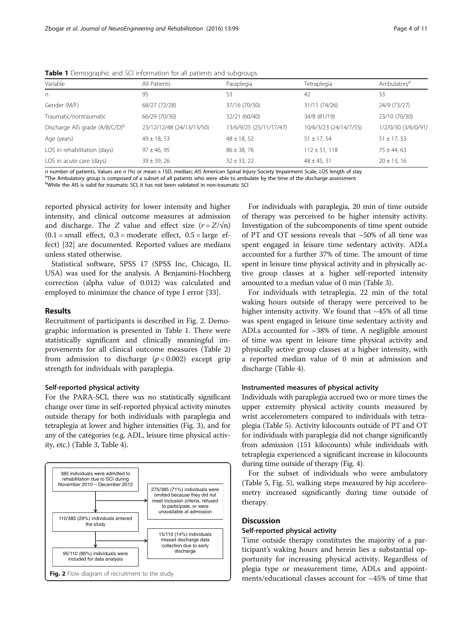| Variable                                   | All Patients              | Paraplegia              | Tetraplegia            | Ambulatory <sup>a</sup> |
|--------------------------------------------|---------------------------|-------------------------|------------------------|-------------------------|
| n                                          | 95                        | 53                      | 42                     | 33                      |
| Gender (M/F)                               | 68/27 (72/28)             | 37/16 (70/30)           | 31/11 (74/26)          | 24/9 (73/27)            |
| Traumatic/nontraumatic                     | 66/29 (70/30)             | 32/21 (60/40)           | 34/8 (81/19)           | 23/10 (70/30)           |
| Discharge AIS grade (A/B/C/D) <sup>b</sup> | 23/12/12/48 (24/13/13/50) | 13/6/9/25 (25/11/17/47) | 10/6/3/23 (24/14/7/55) | 1/2/0/30 (3/6/0/91)     |
| Age (years)                                | $49 \pm 18, 53$           | $48 \pm 18, 52$         | $51 \pm 17, 54$        | $51 \pm 17, 53$         |
| LOS in rehabilitation (days)               | $97 \pm 46, 95$           | $86 \pm 38, 76$         | $112 \pm 51, 118$      | $75 \pm 44, 63$         |
| LOS in acute care (days)                   | $39 \pm 39$ , 26          | $32 \pm 33, 22$         | $48 \pm 45, 31$        | $20 \pm 13, 16$         |

<span id="page-3-0"></span>Table 1 Demographic and SCI information for all patients and subgroups

n number of patients, Values are n  $\frac{100}{5}$  or mean ± 1SD, median; AIS American Spinal Injury Society Impairment Scale, LOS length of stay <sup>a</sup>The Ambulatory group is composed of a subset of all patients who were able to ambulate by the time of the discharge assessment

<sup>b</sup>While the AIS is valid for traumatic SCI, it has not been validated in non-traumatic SCI

reported physical activity for lower intensity and higher intensity, and clinical outcome measures at admission and discharge. The Z value and effect size  $(r = Z/\sqrt{n})$  $(0.1 = \text{small}$  effect,  $0.3 = \text{moderate}$  effect,  $0.5 = \text{large}$  effect) [[32](#page-10-0)] are documented. Reported values are medians unless stated otherwise.

Statistical software, SPSS 17 (SPSS Inc, Chicago, IL USA) was used for the analysis. A Benjamini-Hochberg correction (alpha value of 0.012) was calculated and employed to minimize the chance of type I error [\[33](#page-10-0)].

#### Results

Recruitment of participants is described in Fig. 2. Demographic information is presented in Table 1. There were statistically significant and clinically meaningful improvements for all clinical outcome measures (Table [2](#page-4-0)) from admission to discharge  $(p < 0.002)$  except grip strength for individuals with paraplegia.

#### Self-reported physical activity

For the PARA-SCI, there was no statistically significant change over time in self-reported physical activity minutes outside therapy for both individuals with paraplegia and tetraplegia at lower and higher intensities (Fig. [3\)](#page-4-0), and for any of the categories (e.g. ADL, leisure time physical activity, etc.) (Table [3](#page-5-0), Table [4](#page-6-0)).



For individuals with paraplegia, 20 min of time outside of therapy was perceived to be higher intensity activity. Investigation of the subcomponents of time spent outside of PT and OT sessions reveals that ~50% of all time was spent engaged in leisure time sedentary activity. ADLs accounted for a further 37% of time. The amount of time spent in leisure time physical activity and in physically active group classes at a higher self-reported intensity amounted to a median value of 0 min (Table [3](#page-5-0)).

For individuals with tetraplegia, 22 min of the total waking hours outside of therapy were perceived to be higher intensity activity. We found that  $~145\%$  of all time was spent engaged in leisure time sedentary activity and ADLs accounted for  $\sim$ 38% of time. A negligible amount of time was spent in leisure time physical activity and physically active group classes at a higher intensity, with a reported median value of 0 min at admission and discharge (Table [4](#page-6-0)).

#### Instrumented measures of physical activity

Individuals with paraplegia accrued two or more times the upper extremity physical activity counts measured by wrist accelerometers compared to individuals with tetraplegia (Table [5\)](#page-6-0). Activity kilocounts outside of PT and OT for individuals with paraplegia did not change significantly from admission (151 kilocounts) while individuals with tetraplegia experienced a significant increase in kilocounts during time outside of therapy (Fig. [4\)](#page-7-0).

For the subset of individuals who were ambulatory (Table [5,](#page-6-0) Fig. [5](#page-8-0)), walking steps measured by hip accelerometry increased significantly during time outside of therapy.

#### **Discussion**

# Self-reported physical activity

Time outside therapy constitutes the majority of a participant's waking hours and herein lies a substantial opportunity for increasing physical activity. Regardless of plegia type or measurement time, ADLs and appointments/educational classes account for ~45% of time that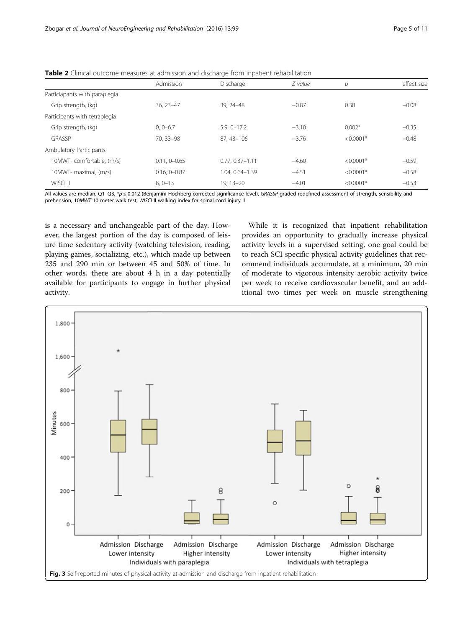|                                | Admission        | Discharge          | $Z$ value | р           | effect size |
|--------------------------------|------------------|--------------------|-----------|-------------|-------------|
| Particiapants with paraplegia  |                  |                    |           |             |             |
| Grip strength, (kg)            | $36.23 - 47$     | 39, 24 - 48        | $-0.87$   | 0.38        | $-0.08$     |
| Participants with tetraplegia  |                  |                    |           |             |             |
| Grip strength, (kg)            | $0, 0 - 6.7$     | $5.9, 0 - 17.2$    | $-3.10$   | $0.002*$    | $-0.35$     |
| GRASSP                         | 70.33-98         | 87.43-106          | $-3.76$   | $< 0.0001*$ | $-0.48$     |
| <b>Ambulatory Participants</b> |                  |                    |           |             |             |
| 10MWT-comfortable. (m/s)       | $0.11, 0 - 0.65$ | $0.77.0.37 - 1.11$ | $-4.60$   | $< 0.0001*$ | $-0.59$     |
| 10MWT- maximal, (m/s)          | $0.16, 0 - 0.87$ | 1.04. 0.64-1.39    | $-4.51$   | $< 0.0001*$ | $-0.58$     |
| WISCI II                       | $8, 0 - 13$      | $19, 13 - 20$      | $-4.01$   | $< 0.0001*$ | $-0.53$     |

<span id="page-4-0"></span>Table 2 Clinical outcome measures at admission and discharge from inpatient rehabilitation

All values are median, Q1–Q3, \*p  $\leq$  0.012 (Benjamini-Hochberg corrected significance level), GRASSP graded redefined assessment of strength, sensibility and prehension, 10MWT 10 meter walk test, WISCI II walking index for spinal cord injury II

is a necessary and unchangeable part of the day. However, the largest portion of the day is composed of leisure time sedentary activity (watching television, reading, playing games, socializing, etc.), which made up between 235 and 290 min or between 45 and 50% of time. In other words, there are about 4 h in a day potentially available for participants to engage in further physical activity.

While it is recognized that inpatient rehabilitation provides an opportunity to gradually increase physical activity levels in a supervised setting, one goal could be to reach SCI specific physical activity guidelines that recommend individuals accumulate, at a minimum, 20 min of moderate to vigorous intensity aerobic activity twice per week to receive cardiovascular benefit, and an additional two times per week on muscle strengthening

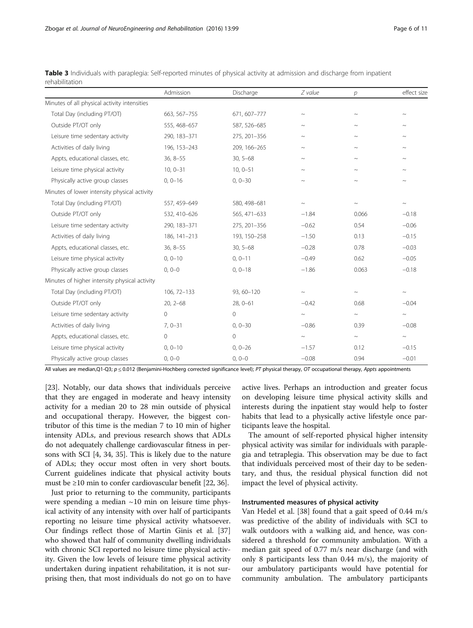|                                               | Admission    | Discharge    | Z value                   | $\overline{p}$ | effect size               |
|-----------------------------------------------|--------------|--------------|---------------------------|----------------|---------------------------|
| Minutes of all physical activity intensities  |              |              |                           |                |                           |
| Total Day (including PT/OT)                   | 663, 567-755 | 671, 607-777 | $\widetilde{\phantom{m}}$ | $\sim$         |                           |
| Outside PT/OT only                            | 555, 468-657 | 587, 526-685 | $\widetilde{\phantom{m}}$ | $\sim$         | $\sim$                    |
| Leisure time sedentary activity               | 290, 183-371 | 275, 201-356 | $\sim$                    |                | $\sim$                    |
| Activities of daily living                    | 196, 153-243 | 209, 166-265 | $\sim$                    |                |                           |
| Appts, educational classes, etc.              | $36, 8 - 55$ | $30, 5 - 68$ | $\widetilde{\phantom{m}}$ | $\sim$         | $\widetilde{\phantom{m}}$ |
| Leisure time physical activity                | $10, 0 - 31$ | $10, 0 - 51$ | $\sim$                    | $\sim$         | $\sim$                    |
| Physically active group classes               | $0, 0 - 16$  | $0, 0 - 30$  | $\widetilde{\phantom{m}}$ | $\sim$         | $\sim$                    |
| Minutes of lower intensity physical activity  |              |              |                           |                |                           |
| Total Day (including PT/OT)                   | 557, 459-649 | 580, 498-681 | $\widetilde{\phantom{m}}$ | $\sim$         | $\sim$                    |
| Outside PT/OT only                            | 532, 410-626 | 565, 471-633 | $-1.84$                   | 0.066          | $-0.18$                   |
| Leisure time sedentary activity               | 290, 183-371 | 275, 201-356 | $-0.62$                   | 0.54           | $-0.06$                   |
| Activities of daily living                    | 186, 141-213 | 193, 150-258 | $-1.50$                   | 0.13           | $-0.15$                   |
| Appts, educational classes, etc.              | $36, 8 - 55$ | $30, 5 - 68$ | $-0.28$                   | 0.78           | $-0.03$                   |
| Leisure time physical activity                | $0.0 - 10$   | $0.0 - 11$   | $-0.49$                   | 0.62           | $-0.05$                   |
| Physically active group classes               | $0, 0 - 0$   | $0, 0 - 18$  | $-1.86$                   | 0.063          | $-0.18$                   |
| Minutes of higher intensity physical activity |              |              |                           |                |                           |
| Total Day (including PT/OT)                   | 106, 72-133  | 93, 60-120   | $\sim$                    | $\sim$         | $\sim$                    |
| Outside PT/OT only                            | $20, 2 - 68$ | $28, 0 - 61$ | $-0.42$                   | 0.68           | $-0.04$                   |
| Leisure time sedentary activity               | $\mathbf{0}$ | 0            | $\sim$                    | $\sim$         | $\sim$                    |
| Activities of daily living                    | $7,0-31$     | $0, 0 - 30$  | $-0.86$                   | 0.39           | $-0.08$                   |
| Appts, educational classes, etc.              | $\mathbf 0$  | $\mathbf{0}$ | $\sim$                    | $\sim$         | $\sim$                    |
| Leisure time physical activity                | $0, 0 - 10$  | $0, 0 - 26$  | $-1.57$                   | 0.12           | $-0.15$                   |
| Physically active group classes               | $0, 0 - 0$   | $0, 0 - 0$   | $-0.08$                   | 0.94           | $-0.01$                   |

<span id="page-5-0"></span>Table 3 Individuals with paraplegia: Self-reported minutes of physical activity at admission and discharge from inpatient rehabilitation

All values are median,Q1-Q3; p ≤ 0.012 (Benjamini-Hochberg corrected significance level); PT physical therapy, OT occupational therapy, Appts appointments

[[23\]](#page-10-0). Notably, our data shows that individuals perceive that they are engaged in moderate and heavy intensity activity for a median 20 to 28 min outside of physical and occupational therapy. However, the biggest contributor of this time is the median 7 to 10 min of higher intensity ADLs, and previous research shows that ADLs do not adequately challenge cardiovascular fitness in persons with SCI [\[4,](#page-9-0) [34](#page-10-0), [35](#page-10-0)]. This is likely due to the nature of ADLs; they occur most often in very short bouts. Current guidelines indicate that physical activity bouts must be  $\geq$ 10 min to confer cardiovascular benefit [\[22,](#page-9-0) [36](#page-10-0)].

Just prior to returning to the community, participants were spending a median  $\sim$ 10 min on leisure time physical activity of any intensity with over half of participants reporting no leisure time physical activity whatsoever. Our findings reflect those of Martin Ginis et al. [[37](#page-10-0)] who showed that half of community dwelling individuals with chronic SCI reported no leisure time physical activity. Given the low levels of leisure time physical activity undertaken during inpatient rehabilitation, it is not surprising then, that most individuals do not go on to have active lives. Perhaps an introduction and greater focus on developing leisure time physical activity skills and interests during the inpatient stay would help to foster habits that lead to a physically active lifestyle once participants leave the hospital.

The amount of self-reported physical higher intensity physical activity was similar for individuals with paraplegia and tetraplegia. This observation may be due to fact that individuals perceived most of their day to be sedentary, and thus, the residual physical function did not impact the level of physical activity.

# Instrumented measures of physical activity

Van Hedel et al. [\[38](#page-10-0)] found that a gait speed of 0.44 m/s was predictive of the ability of individuals with SCI to walk outdoors with a walking aid, and hence, was considered a threshold for community ambulation. With a median gait speed of 0.77 m/s near discharge (and with only 8 participants less than 0.44 m/s), the majority of our ambulatory participants would have potential for community ambulation. The ambulatory participants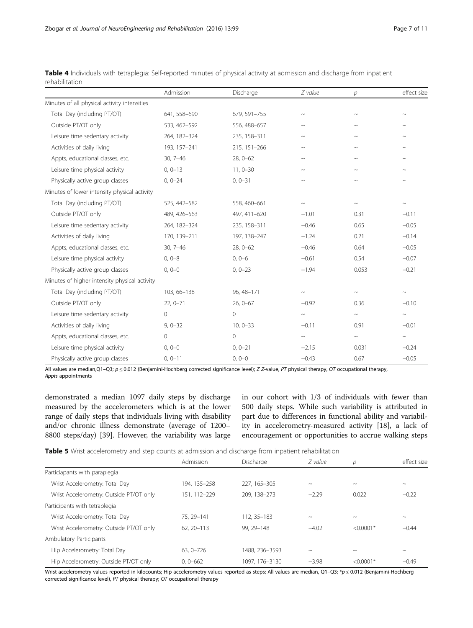|                                               | Admission    | Discharge    | Z value                   | $\mathcal{D}$ | effect size               |
|-----------------------------------------------|--------------|--------------|---------------------------|---------------|---------------------------|
| Minutes of all physical activity intensities  |              |              |                           |               |                           |
| Total Day (including PT/OT)                   | 641, 558-690 | 679, 591-755 | $\sim$                    | $\sim$        | $\widetilde{\phantom{m}}$ |
| Outside PT/OT only                            | 533, 462-592 | 556, 488-657 | $\widetilde{\phantom{m}}$ | $\sim$        | $\sim$                    |
| Leisure time sedentary activity               | 264, 182-324 | 235, 158-311 | $\sim$                    | $\sim$        | $\sim$                    |
| Activities of daily living                    | 193, 157-241 | 215, 151-266 | $\sim$                    | $\sim$        | $\widetilde{\phantom{m}}$ |
| Appts, educational classes, etc.              | $30, 7 - 46$ | $28, 0 - 62$ | $\sim$                    | $\sim$        | $\sim$                    |
| Leisure time physical activity                | $0.0 - 13$   | $11.0 - 30$  | $\sim$                    | $\sim$        | $\sim$                    |
| Physically active group classes               | $0, 0 - 24$  | $0, 0 - 31$  | $\sim$                    | $\sim$        | $\sim$                    |
| Minutes of lower intensity physical activity  |              |              |                           |               |                           |
| Total Day (including PT/OT)                   | 525, 442-582 | 558, 460-661 | $\widetilde{\phantom{m}}$ | $\sim$        | $\sim$                    |
| Outside PT/OT only                            | 489, 426-563 | 497, 411-620 | $-1.01$                   | 0.31          | $-0.11$                   |
| Leisure time sedentary activity               | 264, 182-324 | 235, 158-311 | $-0.46$                   | 0.65          | $-0.05$                   |
| Activities of daily living                    | 170, 139-211 | 197, 138-247 | $-1.24$                   | 0.21          | $-0.14$                   |
| Appts, educational classes, etc.              | $30, 7 - 46$ | $28, 0 - 62$ | $-0.46$                   | 0.64          | $-0.05$                   |
| Leisure time physical activity                | $0, 0 - 8$   | $0, 0-6$     | $-0.61$                   | 0.54          | $-0.07$                   |
| Physically active group classes               | $0, 0 - 0$   | $0, 0 - 23$  | $-1.94$                   | 0.053         | $-0.21$                   |
| Minutes of higher intensity physical activity |              |              |                           |               |                           |
| Total Day (including PT/OT)                   | 103, 66-138  | 96, 48-171   | $\widetilde{\phantom{m}}$ | $\sim$        | $\sim$                    |
| Outside PT/OT only                            | $22, 0 - 71$ | $26, 0 - 67$ | $-0.92$                   | 0.36          | $-0.10$                   |
| Leisure time sedentary activity               | 0            | 0            | $\sim$                    | $\sim$        | $\sim$                    |
| Activities of daily living                    | $9,0-32$     | $10, 0 - 33$ | $-0.11$                   | 0.91          | $-0.01$                   |
| Appts, educational classes, etc.              | $\mathbf{0}$ | $\mathbf{0}$ | $\sim$                    | $\sim$        | $\sim$                    |
| Leisure time physical activity                | $0, 0 - 0$   | $0, 0 - 21$  | $-2.15$                   | 0.031         | $-0.24$                   |
| Physically active group classes               | $0, 0 - 11$  | $0, 0 - 0$   | $-0.43$                   | 0.67          | $-0.05$                   |

<span id="page-6-0"></span>

|                | Table 4 Individuals with tetraplegia: Self-reported minutes of physical activity at admission and discharge from inpatient |  |  |
|----------------|----------------------------------------------------------------------------------------------------------------------------|--|--|
| rehabilitation |                                                                                                                            |  |  |

All values are median,Q1-Q3; p ≤ 0.012 (Benjamini-Hochberg corrected significance level); Z Z-value, PT physical therapy, OT occupational therapy, Appts appointments

demonstrated a median 1097 daily steps by discharge measured by the accelerometers which is at the lower range of daily steps that individuals living with disability and/or chronic illness demonstrate (average of 1200– 8800 steps/day) [[39\]](#page-10-0). However, the variability was large in our cohort with 1/3 of individuals with fewer than 500 daily steps. While such variability is attributed in part due to differences in functional ability and variability in accelerometry-measured activity [[18\]](#page-9-0), a lack of encouragement or opportunities to accrue walking steps

|  | Table 5 Wrist accelerometry and step counts at admission and discharge from inpatient rehabilitation |  |  |  |  |
|--|------------------------------------------------------------------------------------------------------|--|--|--|--|
|  |                                                                                                      |  |  |  |  |

|                                         | Admission    | Discharge      | Z value                   | р           | effect size               |
|-----------------------------------------|--------------|----------------|---------------------------|-------------|---------------------------|
| Particiapants with paraplegia           |              |                |                           |             |                           |
| Wrist Accelerometry: Total Day          | 194, 135-258 | 227, 165-305   | $\widetilde{\phantom{m}}$ | $\sim$      | $\widetilde{\phantom{m}}$ |
| Wrist Accelerometry: Outside PT/OT only | 151.112-229  | 209, 138-273   | $-2.29$                   | 0.022       | $-0.22$                   |
| Participants with tetraplegia           |              |                |                           |             |                           |
| Wrist Accelerometry: Total Day          | 75, 29-141   | 112, 35-183    | $\widetilde{\phantom{m}}$ | $\sim$      | $\widetilde{\phantom{m}}$ |
| Wrist Accelerometry: Outside PT/OT only | 62.20-113    | 99, 29-148     | $-4.02$                   | $< 0.0001*$ | $-0.44$                   |
| <b>Ambulatory Participants</b>          |              |                |                           |             |                           |
| Hip Accelerometry: Total Day            | $63.0 - 726$ | 1488, 236-3593 | $\widetilde{\phantom{m}}$ | $\sim$      | $\widetilde{\phantom{m}}$ |
| Hip Accelerometry: Outside PT/OT only   | $0.0 - 662$  | 1097, 176-3130 | $-3.98$                   | $< 0.0001*$ | $-0.49$                   |

Wrist accelerometry values reported in kilocounts; Hip accelerometry values reported as steps; All values are median, Q1-Q3; \*p  $\leq$  0.012 (Benjamini-Hochberg corrected significance level), PT physical therapy; OT occupational therapy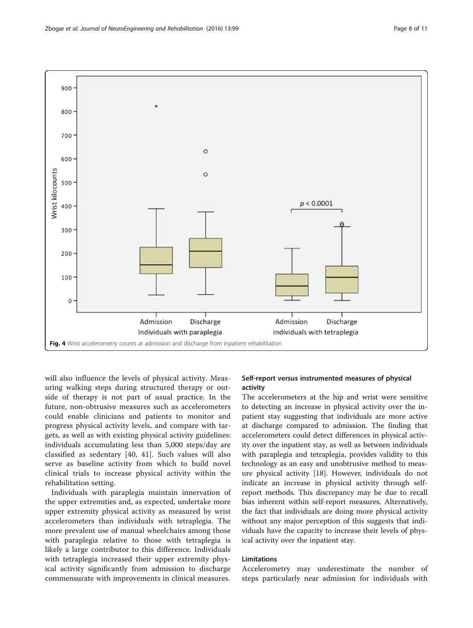<span id="page-7-0"></span>

will also influence the levels of physical activity. Measuring walking steps during structured therapy or outside of therapy is not part of usual practice. In the future, non-obtrusive measures such as accelerometers could enable clinicians and patients to monitor and progress physical activity levels, and compare with targets, as well as with existing physical activity guidelines: individuals accumulating less than 5,000 steps/day are classified as sedentary [[40, 41](#page-10-0)]. Such values will also serve as baseline activity from which to build novel clinical trials to increase physical activity within the rehabilitation setting.

Individuals with paraplegia maintain innervation of the upper extremities and, as expected, undertake more upper extremity physical activity as measured by wrist accelerometers than individuals with tetraplegia. The more prevalent use of manual wheelchairs among those with paraplegia relative to those with tetraplegia is likely a large contributor to this difference. Individuals with tetraplegia increased their upper extremity physical activity significantly from admission to discharge commensurate with improvements in clinical measures.

# Self-report versus instrumented measures of physical activity

The accelerometers at the hip and wrist were sensitive to detecting an increase in physical activity over the inpatient stay suggesting that individuals are more active at discharge compared to admission. The finding that accelerometers could detect differences in physical activity over the inpatient stay, as well as between individuals with paraplegia and tetraplegia, provides validity to this technology as an easy and unobtrusive method to measure physical activity [[18\]](#page-9-0). However, individuals do not indicate an increase in physical activity through selfreport methods. This discrepancy may be due to recall bias inherent within self-report measures. Alternatively, the fact that individuals are doing more physical activity without any major perception of this suggests that individuals have the capacity to increase their levels of physical activity over the inpatient stay.

# Limitations

Accelerometry may underestimate the number of steps particularly near admission for individuals with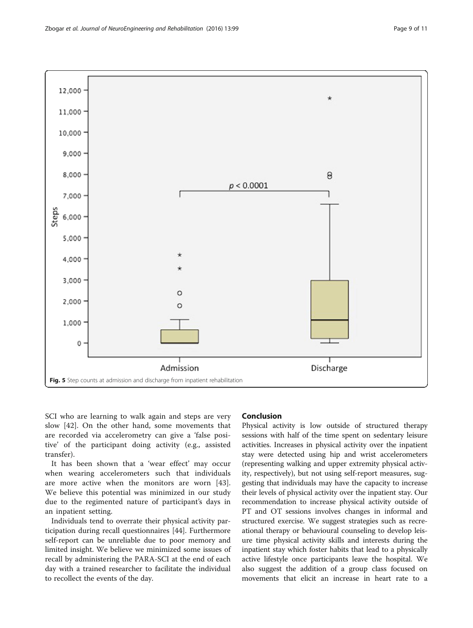<span id="page-8-0"></span>

SCI who are learning to walk again and steps are very slow [\[42](#page-10-0)]. On the other hand, some movements that are recorded via accelerometry can give a 'false positive' of the participant doing activity (e.g., assisted transfer).

It has been shown that a 'wear effect' may occur when wearing accelerometers such that individuals are more active when the monitors are worn [\[43](#page-10-0)]. We believe this potential was minimized in our study due to the regimented nature of participant's days in an inpatient setting.

Individuals tend to overrate their physical activity participation during recall questionnaires [\[44\]](#page-10-0). Furthermore self-report can be unreliable due to poor memory and limited insight. We believe we minimized some issues of recall by administering the PARA-SCI at the end of each day with a trained researcher to facilitate the individual to recollect the events of the day.

# Conclusion

Physical activity is low outside of structured therapy sessions with half of the time spent on sedentary leisure activities. Increases in physical activity over the inpatient stay were detected using hip and wrist accelerometers (representing walking and upper extremity physical activity, respectively), but not using self-report measures, suggesting that individuals may have the capacity to increase their levels of physical activity over the inpatient stay. Our recommendation to increase physical activity outside of PT and OT sessions involves changes in informal and structured exercise. We suggest strategies such as recreational therapy or behavioural counseling to develop leisure time physical activity skills and interests during the inpatient stay which foster habits that lead to a physically active lifestyle once participants leave the hospital. We also suggest the addition of a group class focused on movements that elicit an increase in heart rate to a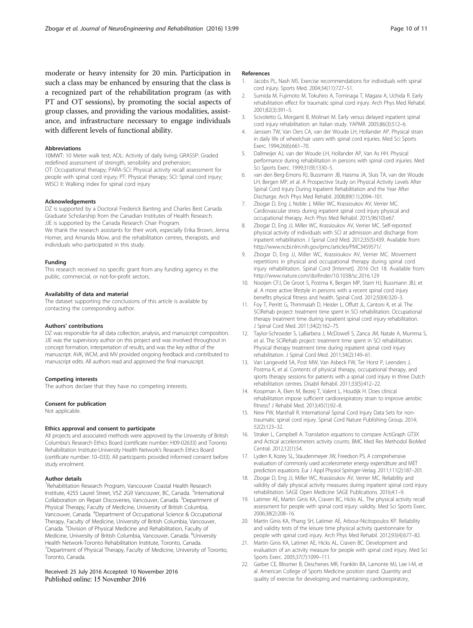<span id="page-9-0"></span>moderate or heavy intensity for 20 min. Participation in such a class may be enhanced by ensuring that the class is a recognized part of the rehabilitation program (as with PT and OT sessions), by promoting the social aspects of group classes, and providing the various modalities, assistance, and infrastructure necessary to engage individuals with different levels of functional ability.

#### Abbreviations

10MWT: 10 Meter walk test; ADL: Activity of daily living; GRASSP: Graded redefined assessment of strength, sensibility and prehension; OT: Occupational therapy; PARA-SCI: Physical activity recall assessment for people with spinal cord injury; PT: Physical therapy; SCI: Spinal cord injury; WISCI II: Walking index for spinal cord injury

#### **Acknowledgements**

DZ is supported by a Doctoral Frederick Banting and Charles Best Canada Graduate Scholarship from the Canadian Institutes of Health Research. JJE is supported by the Canada Research Chair Program. We thank the research assistants for their work, especially Erika Brown, Jenna Homer, and Amanda Mow, and the rehabilitation centres, therapists, and individuals who participated in this study.

#### Funding

This research received no specific grant from any funding agency in the public, commercial, or not-for-profit sectors.

#### Availability of data and material

The dataset supporting the conclusions of this article is available by contacting the corresponding author.

#### Authors' contributions

DZ was responsible for all data collection, analysis, and manuscript composition. JJE was the supervisory author on this project and was involved throughout in concept formation, interpretation of results, and was the key editor of the manuscript. AVK, WCM, and MV provided ongoing feedback and contributed to manuscript edits. All authors read and approved the final manuscript.

#### Competing interests

The authors declare that they have no competing interests.

#### Consent for publication

Not applicable.

#### Ethics approval and consent to participate

All projects and associated methods were approved by the University of British Columbia's Research Ethics Board (certificate number: H09-02633) and Toronto Rehabilitation Institute-University Health Network's Research Ethics Board (certificate number: 10–033). All participants provided informed consent before study enrolment.

#### Author details

<sup>1</sup> Rehabilitation Research Program, Vancouver Coastal Health Research Institute, 4255 Laurel Street, V5Z 2G9 Vancouver, BC, Canada. <sup>2</sup>International Collaboration on Repair Discoveries, Vancouver, Canada. <sup>3</sup>Department of Physical Therapy, Faculty of Medicine, University of British Columbia, Vancouver, Canada. <sup>4</sup> Department of Occupational Science & Occupational Therapy, Faculty of Medicine, University of British Columbia, Vancouver, Canada. <sup>5</sup>Division of Physical Medicine and Rehabilitation, Faculty of Medicine, University of British Columbia, Vancouver, Canada. <sup>6</sup>University Health Network-Toronto Rehabilitation Institute, Toronto, Canada. <sup>7</sup> Department of Physical Therapy, Faculty of Medicine, University of Toronto, Toronto, Canada.

# Received: 25 July 2016 Accepted: 10 November 2016

#### References

- Jacobs PL, Nash MS. Exercise recommendations for individuals with spinal cord injury. Sports Med. 2004;34(11):727–51.
- 2. Sumida M, Fujimoto M, Tokuhiro A, Tominaga T, Magara A, Uchida R. Early rehabilitation effect for traumatic spinal cord injury. Arch Phys Med Rehabil. 2001;82(3):391–5.
- 3. Scivoletto G, Morganti B, Molinari M. Early versus delayed inpatient spinal cord injury rehabilitation: an Italian study. YAPMR. 2005;86(3):512–6.
- 4. Janssen TW, Van Oers CA, van der Woude LH, Hollander AP. Physical strain in daily life of wheelchair users with spinal cord injuries. Med Sci Sports Exerc. 1994;26(6):661–70.
- 5. Dallmeijer AJ, van der Woude LH, Hollander AP, Van As HH. Physical performance during rehabilitation in persons with spinal cord injuries. Med Sci Sports Exerc. 1999;31(9):1330–5.
- 6. van den Berg-Emons RJ, Bussmann JB, Haisma JA, Sluis TA, van der Woude LH, Bergen MP, et al. A Prospective Study on Physical Activity Levels After Spinal Cord Injury During Inpatient Rehabilitation and the Year After Discharge. Arch Phys Med Rehabil. 2008;89(11):2094–101.
- 7. Zbogar D, Eng J, Noble J, Miller WC, Krassioukov AV, Verrier MC. Cardiovascular stress during inpatient spinal cord injury physical and occupational therapy. Arch Phys Med Rehabil. 2015;96(10):e67.
- 8. Zbogar D, Eng JJ, Miller WC, Krassioukov AV, Verrier MC. Self-reported physical activity of individuals with SCI at admission and discharge from inpatient rehabilitation. J Spinal Cord Med. 2012;35(5):439. Available from: [http://www.ncbi.nlm.nih.gov/pmc/articles/PMC3459571/.](http://www.ncbi.nlm.nih.gov/pmc/articles/PMC3459571/)
- 9. Zbogar D, Eng JJ, Miller WC, Krassioukov AV, Verrier MC. Movement repetitions in physical and occupational therapy during spinal cord injury rehabilitation. Spinal Cord [Internet]. 2016 Oct 18. Available from: http://www.nature.com/doifinder/10.1038/sc.2016.129
- 10. Nooijen CFJ, De Groot S, Postma K, Bergen MP, Stam HJ, Bussmann JBJ, et al. A more active lifestyle in persons with a recent spinal cord injury benefits physical fitness and health. Spinal Cord. 2012;50(4):320–3.
- 11. Foy T, Perritt G, Thimmaiah D, Heisler L, Offutt JL, Cantoni K, et al. The SCIRehab project: treatment time spent in SCI rehabilitation. Occupational therapy treatment time during inpatient spinal cord injury rehabilitation. J Spinal Cord Med. 2011;34(2):162–75.
- 12. Taylor-Schroeder S, LaBarbera J, McDowell S, Zanca JM, Natale A, Mumma S, et al. The SCIRehab project: treatment time spent in SCI rehabilitation. Physical therapy treatment time during inpatient spinal cord injury rehabilitation. J Spinal Cord Med. 2011;34(2):149–61.
- 13. Van Langeveld SA, Post MW, Van Asbeck FW, Ter Horst P, Leenders J, Postma K, et al. Contents of physical therapy, occupational therapy, and sports therapy sessions for patients with a spinal cord injury in three Dutch rehabilitation centres. Disabil Rehabil. 2011;33(5):412–22.
- 14. Koopman A, Eken M, Bezeij T, Valent L, Houdijk H. Does clinical rehabilitation impose sufficient cardiorespiratory strain to improve aerobic fitness? J Rehabil Med. 2013;45(1):92–8.
- 15. New PW, Marshall R. International Spinal Cord Injury Data Sets for nontraumatic spinal cord injury. Spinal Cord Nature Publishing Group. 2014; 52(2):123–32.
- 16. Straker L, Campbell A. Translation equations to compare ActiGraph GT3X and Actical accelerometers activity counts. BMC Med Res Methodol BioMed Central. 2012;12(1):54.
- 17. Lyden K, Kozey SL, Staudenmeyer JW, Freedson PS. A comprehensive evaluation of commonly used accelerometer energy expenditure and MET prediction equations. Eur J Appl Physiol Springer-Verlag. 2011;111(2):187–201.
- 18. Zbogar D, Eng JJ, Miller WC, Krassioukov AV, Verrier MC. Reliability and validity of daily physical activity measures during inpatient spinal cord injury rehabilitation. SAGE Open Medicine SAGE Publications. 2016;4:1–9.
- 19. Latimer AE, Martin Ginis KA, Craven BC, Hicks AL. The physical activity recall assessment for people with spinal cord injury: validity. Med Sci Sports Exerc. 2006;38(2):208–16.
- 20. Martin Ginis KA, Phang SH, Latimer AE, Arbour-Nicitopoulos KP. Reliability and validity tests of the leisure time physical activity questionnaire for people with spinal cord injury. Arch Phys Med Rehabil. 2012;93(4):677–82.
- 21. Martin Ginis KA, Latimer AE, Hicks AL, Craven BC. Development and evaluation of an activity measure for people with spinal cord injury. Med Sci Sports Exerc. 2005;37(7):1099–111.
- 22. Garber CE, Blissmer B, Deschenes MR, Franklin BA, Lamonte MJ, Lee I-M, et al. American College of Sports Medicine position stand. Quantity and quality of exercise for developing and maintaining cardiorespiratory,